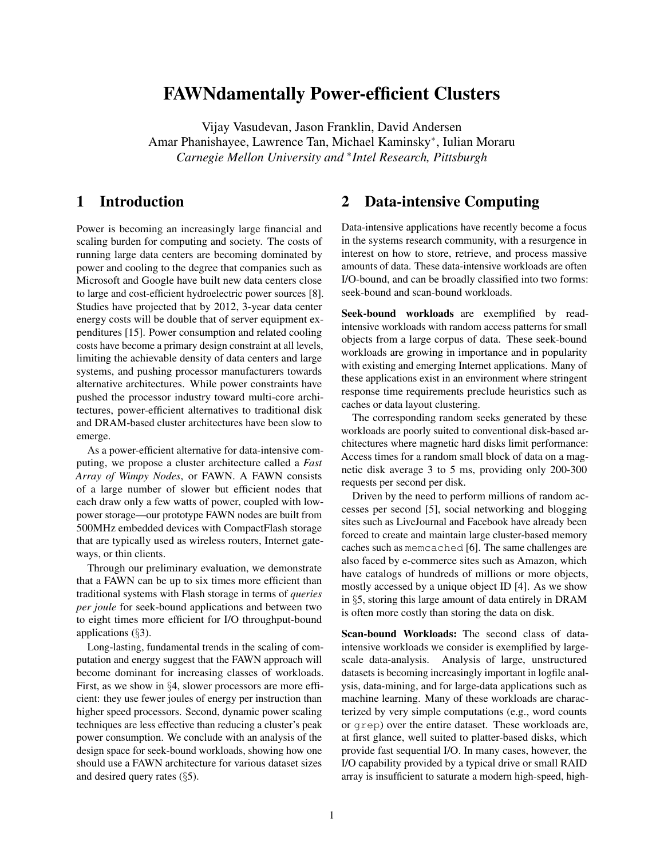# FAWNdamentally Power-efficient Clusters

Vijay Vasudevan, Jason Franklin, David Andersen Amar Phanishayee, Lawrence Tan, Michael Kaminsky<sup>∗</sup> , Iulian Moraru *Carnegie Mellon University and* <sup>∗</sup> *Intel Research, Pittsburgh*

## 1 Introduction

Power is becoming an increasingly large financial and scaling burden for computing and society. The costs of running large data centers are becoming dominated by power and cooling to the degree that companies such as Microsoft and Google have built new data centers close to large and cost-efficient hydroelectric power sources [[8](#page-4-0)]. Studies have projected that by 2012, 3-year data center energy costs will be double that of server equipment expenditures [[15](#page-4-1)]. Power consumption and related cooling costs have become a primary design constraint at all levels, limiting the achievable density of data centers and large systems, and pushing processor manufacturers towards alternative architectures. While power constraints have pushed the processor industry toward multi-core architectures, power-efficient alternatives to traditional disk and DRAM-based cluster architectures have been slow to emerge.

As a power-efficient alternative for data-intensive computing, we propose a cluster architecture called a *Fast Array of Wimpy Nodes*, or FAWN. A FAWN consists of a large number of slower but efficient nodes that each draw only a few watts of power, coupled with lowpower storage—our prototype FAWN nodes are built from 500MHz embedded devices with CompactFlash storage that are typically used as wireless routers, Internet gateways, or thin clients.

Through our preliminary evaluation, we demonstrate that a FAWN can be up to six times more efficient than traditional systems with Flash storage in terms of *queries per joule* for seek-bound applications and between two to eight times more efficient for I/O throughput-bound applications (§[3\)](#page-1-0).

Long-lasting, fundamental trends in the scaling of computation and energy suggest that the FAWN approach will become dominant for increasing classes of workloads. First, as we show in §[4,](#page-1-1) slower processors are more efficient: they use fewer joules of energy per instruction than higher speed processors. Second, dynamic power scaling techniques are less effective than reducing a cluster's peak power consumption. We conclude with an analysis of the design space for seek-bound workloads, showing how one should use a FAWN architecture for various dataset sizes and desired query rates (§[5\)](#page-3-0).

## 2 Data-intensive Computing

Data-intensive applications have recently become a focus in the systems research community, with a resurgence in interest on how to store, retrieve, and process massive amounts of data. These data-intensive workloads are often I/O-bound, and can be broadly classified into two forms: seek-bound and scan-bound workloads.

Seek-bound workloads are exemplified by readintensive workloads with random access patterns for small objects from a large corpus of data. These seek-bound workloads are growing in importance and in popularity with existing and emerging Internet applications. Many of these applications exist in an environment where stringent response time requirements preclude heuristics such as caches or data layout clustering.

The corresponding random seeks generated by these workloads are poorly suited to conventional disk-based architectures where magnetic hard disks limit performance: Access times for a random small block of data on a magnetic disk average 3 to 5 ms, providing only 200-300 requests per second per disk.

Driven by the need to perform millions of random accesses per second [[5](#page-4-2)], social networking and blogging sites such as LiveJournal and Facebook have already been forced to create and maintain large cluster-based memory caches such as memcached [[6](#page-4-3)]. The same challenges are also faced by e-commerce sites such as Amazon, which have catalogs of hundreds of millions or more objects, mostly accessed by a unique object ID [[4](#page-4-4)]. As we show in §[5,](#page-3-0) storing this large amount of data entirely in DRAM is often more costly than storing the data on disk.

Scan-bound Workloads: The second class of dataintensive workloads we consider is exemplified by largescale data-analysis. Analysis of large, unstructured datasets is becoming increasingly important in logfile analysis, data-mining, and for large-data applications such as machine learning. Many of these workloads are characterized by very simple computations (e.g., word counts or grep) over the entire dataset. These workloads are, at first glance, well suited to platter-based disks, which provide fast sequential I/O. In many cases, however, the I/O capability provided by a typical drive or small RAID array is insufficient to saturate a modern high-speed, high-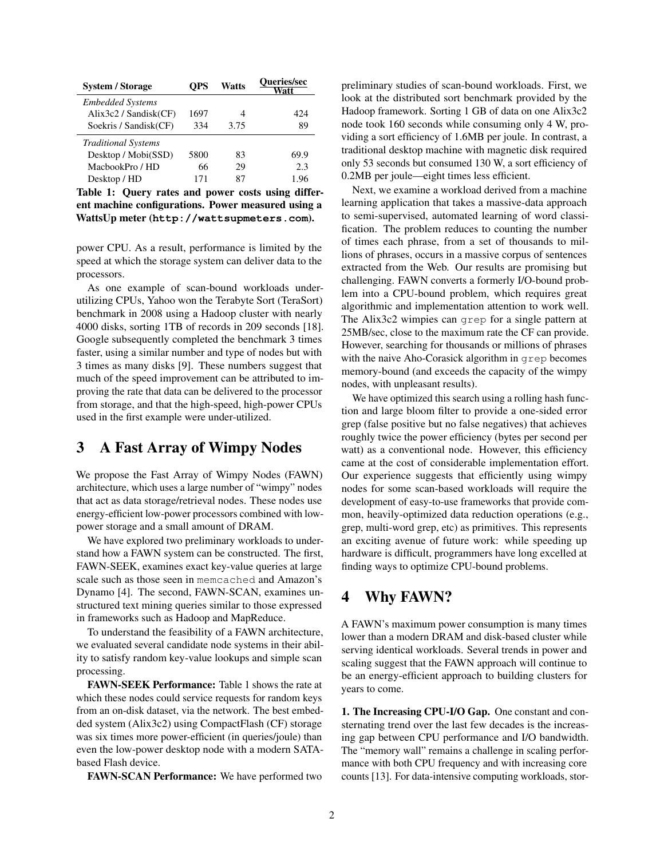| <b>System / Storage</b>        | OPS  | <b>Watts</b> | Queries/sec<br>Watt |  |
|--------------------------------|------|--------------|---------------------|--|
| <b>Embedded Systems</b>        |      |              |                     |  |
| $\text{Alix3c2}$ / Sandisk(CF) | 1697 |              | 424                 |  |
| Soekris / Sandisk(CF)          | 334  | 3.75         | 89                  |  |
| <b>Traditional Systems</b>     |      |              |                     |  |
| Desktop / Mobi(SSD)            | 5800 | 83           | 69.9                |  |
| MachookPro / HD                | 66   | 29           | 2.3                 |  |
| Desktop / HD                   | 171  | 87           | 1.96                |  |

Table 1: Query rates and power costs using different machine configurations. Power measured using a WattsUp meter (**<http://wattsupmeters.com>**).

power CPU. As a result, performance is limited by the speed at which the storage system can deliver data to the processors.

As one example of scan-bound workloads underutilizing CPUs, Yahoo won the Terabyte Sort (TeraSort) benchmark in 2008 using a Hadoop cluster with nearly 4000 disks, sorting 1TB of records in 209 seconds [[18](#page-4-5)]. Google subsequently completed the benchmark 3 times faster, using a similar number and type of nodes but with 3 times as many disks [[9](#page-4-6)]. These numbers suggest that much of the speed improvement can be attributed to improving the rate that data can be delivered to the processor from storage, and that the high-speed, high-power CPUs used in the first example were under-utilized.

## <span id="page-1-0"></span>3 A Fast Array of Wimpy Nodes

We propose the Fast Array of Wimpy Nodes (FAWN) architecture, which uses a large number of "wimpy" nodes that act as data storage/retrieval nodes. These nodes use energy-efficient low-power processors combined with lowpower storage and a small amount of DRAM.

We have explored two preliminary workloads to understand how a FAWN system can be constructed. The first, FAWN-SEEK, examines exact key-value queries at large scale such as those seen in memcached and Amazon's Dynamo [[4](#page-4-4)]. The second, FAWN-SCAN, examines unstructured text mining queries similar to those expressed in frameworks such as Hadoop and MapReduce.

To understand the feasibility of a FAWN architecture, we evaluated several candidate node systems in their ability to satisfy random key-value lookups and simple scan processing.

FAWN-SEEK Performance: Table [1](#page-1-2) shows the rate at which these nodes could service requests for random keys from an on-disk dataset, via the network. The best embedded system (Alix3c2) using CompactFlash (CF) storage was six times more power-efficient (in queries/joule) than even the low-power desktop node with a modern SATAbased Flash device.

FAWN-SCAN Performance: We have performed two

<span id="page-1-2"></span>preliminary studies of scan-bound workloads. First, we look at the distributed sort benchmark provided by the Hadoop framework. Sorting 1 GB of data on one Alix3c2 node took 160 seconds while consuming only 4 W, providing a sort efficiency of 1.6MB per joule. In contrast, a traditional desktop machine with magnetic disk required only 53 seconds but consumed 130 W, a sort efficiency of 0.2MB per joule—eight times less efficient.

Next, we examine a workload derived from a machine learning application that takes a massive-data approach to semi-supervised, automated learning of word classification. The problem reduces to counting the number of times each phrase, from a set of thousands to millions of phrases, occurs in a massive corpus of sentences extracted from the Web. Our results are promising but challenging. FAWN converts a formerly I/O-bound problem into a CPU-bound problem, which requires great algorithmic and implementation attention to work well. The Alix3c2 wimpies can grep for a single pattern at 25MB/sec, close to the maximum rate the CF can provide. However, searching for thousands or millions of phrases with the naive Aho-Corasick algorithm in grep becomes memory-bound (and exceeds the capacity of the wimpy nodes, with unpleasant results).

We have optimized this search using a rolling hash function and large bloom filter to provide a one-sided error grep (false positive but no false negatives) that achieves roughly twice the power efficiency (bytes per second per watt) as a conventional node. However, this efficiency came at the cost of considerable implementation effort. Our experience suggests that efficiently using wimpy nodes for some scan-based workloads will require the development of easy-to-use frameworks that provide common, heavily-optimized data reduction operations (e.g., grep, multi-word grep, etc) as primitives. This represents an exciting avenue of future work: while speeding up hardware is difficult, programmers have long excelled at finding ways to optimize CPU-bound problems.

## <span id="page-1-1"></span>4 Why FAWN?

A FAWN's maximum power consumption is many times lower than a modern DRAM and disk-based cluster while serving identical workloads. Several trends in power and scaling suggest that the FAWN approach will continue to be an energy-efficient approach to building clusters for years to come.

1. The Increasing CPU-I/O Gap. One constant and consternating trend over the last few decades is the increasing gap between CPU performance and I/O bandwidth. The "memory wall" remains a challenge in scaling performance with both CPU frequency and with increasing core counts [[13](#page-4-7)]. For data-intensive computing workloads, stor-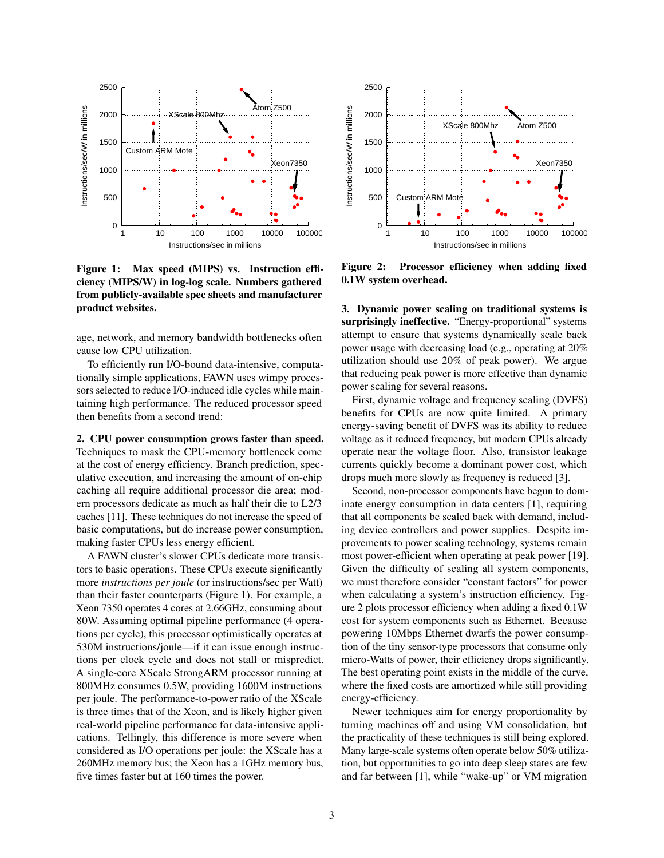

<span id="page-2-0"></span>Figure 1: Max speed (MIPS) vs. Instruction efficiency (MIPS/W) in log-log scale. Numbers gathered from publicly-available spec sheets and manufacturer product websites.

age, network, and memory bandwidth bottlenecks often cause low CPU utilization.

To efficiently run I/O-bound data-intensive, computationally simple applications, FAWN uses wimpy processors selected to reduce I/O-induced idle cycles while maintaining high performance. The reduced processor speed then benefits from a second trend:

2. CPU power consumption grows faster than speed. Techniques to mask the CPU-memory bottleneck come at the cost of energy efficiency. Branch prediction, speculative execution, and increasing the amount of on-chip caching all require additional processor die area; modern processors dedicate as much as half their die to L2/3 caches [[11](#page-4-8)]. These techniques do not increase the speed of basic computations, but do increase power consumption, making faster CPUs less energy efficient.

A FAWN cluster's slower CPUs dedicate more transistors to basic operations. These CPUs execute significantly more *instructions per joule* (or instructions/sec per Watt) than their faster counterparts (Figure [1\)](#page-2-0). For example, a Xeon 7350 operates 4 cores at 2.66GHz, consuming about 80W. Assuming optimal pipeline performance (4 operations per cycle), this processor optimistically operates at 530M instructions/joule—if it can issue enough instructions per clock cycle and does not stall or mispredict. A single-core XScale StrongARM processor running at 800MHz consumes 0.5W, providing 1600M instructions per joule. The performance-to-power ratio of the XScale is three times that of the Xeon, and is likely higher given real-world pipeline performance for data-intensive applications. Tellingly, this difference is more severe when considered as I/O operations per joule: the XScale has a 260MHz memory bus; the Xeon has a 1GHz memory bus, five times faster but at 160 times the power.



<span id="page-2-1"></span>Figure 2: Processor efficiency when adding fixed 0.1W system overhead.

3. Dynamic power scaling on traditional systems is surprisingly ineffective. "Energy-proportional" systems attempt to ensure that systems dynamically scale back power usage with decreasing load (e.g., operating at 20% utilization should use 20% of peak power). We argue that reducing peak power is more effective than dynamic power scaling for several reasons.

First, dynamic voltage and frequency scaling (DVFS) benefits for CPUs are now quite limited. A primary energy-saving benefit of DVFS was its ability to reduce voltage as it reduced frequency, but modern CPUs already operate near the voltage floor. Also, transistor leakage currents quickly become a dominant power cost, which drops much more slowly as frequency is reduced [\[3\]](#page-4-9).

Second, non-processor components have begun to dominate energy consumption in data centers [[1](#page-4-10)], requiring that all components be scaled back with demand, including device controllers and power supplies. Despite improvements to power scaling technology, systems remain most power-efficient when operating at peak power [[19](#page-4-11)]. Given the difficulty of scaling all system components, we must therefore consider "constant factors" for power when calculating a system's instruction efficiency. Figure [2](#page-2-1) plots processor efficiency when adding a fixed 0.1W cost for system components such as Ethernet. Because powering 10Mbps Ethernet dwarfs the power consumption of the tiny sensor-type processors that consume only micro-Watts of power, their efficiency drops significantly. The best operating point exists in the middle of the curve, where the fixed costs are amortized while still providing energy-efficiency.

Newer techniques aim for energy proportionality by turning machines off and using VM consolidation, but the practicality of these techniques is still being explored. Many large-scale systems often operate below 50% utilization, but opportunities to go into deep sleep states are few and far between [[1](#page-4-10)], while "wake-up" or VM migration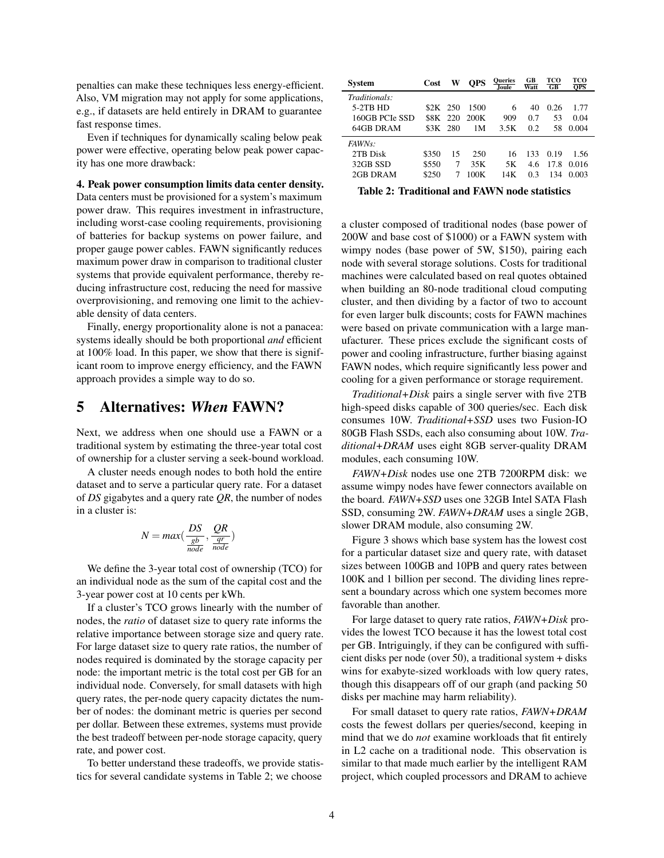penalties can make these techniques less energy-efficient. Also, VM migration may not apply for some applications, e.g., if datasets are held entirely in DRAM to guarantee fast response times.

Even if techniques for dynamically scaling below peak power were effective, operating below peak power capacity has one more drawback:

#### 4. Peak power consumption limits data center density.

Data centers must be provisioned for a system's maximum power draw. This requires investment in infrastructure, including worst-case cooling requirements, provisioning of batteries for backup systems on power failure, and proper gauge power cables. FAWN significantly reduces maximum power draw in comparison to traditional cluster systems that provide equivalent performance, thereby reducing infrastructure cost, reducing the need for massive overprovisioning, and removing one limit to the achievable density of data centers.

Finally, energy proportionality alone is not a panacea: systems ideally should be both proportional *and* efficient at 100% load. In this paper, we show that there is significant room to improve energy efficiency, and the FAWN approach provides a simple way to do so.

### <span id="page-3-0"></span>5 Alternatives: *When* FAWN?

Next, we address when one should use a FAWN or a traditional system by estimating the three-year total cost of ownership for a cluster serving a seek-bound workload.

A cluster needs enough nodes to both hold the entire dataset and to serve a particular query rate. For a dataset of *DS* gigabytes and a query rate *QR*, the number of nodes in a cluster is:

$$
N = \max(\frac{DS}{\frac{gb}{node}}, \frac{QR}{\frac{qr}{node}})
$$

We define the 3-year total cost of ownership (TCO) for an individual node as the sum of the capital cost and the 3-year power cost at 10 cents per kWh.

If a cluster's TCO grows linearly with the number of nodes, the *ratio* of dataset size to query rate informs the relative importance between storage size and query rate. For large dataset size to query rate ratios, the number of nodes required is dominated by the storage capacity per node: the important metric is the total cost per GB for an individual node. Conversely, for small datasets with high query rates, the per-node query capacity dictates the number of nodes: the dominant metric is queries per second per dollar. Between these extremes, systems must provide the best tradeoff between per-node storage capacity, query rate, and power cost.

To better understand these tradeoffs, we provide statistics for several candidate systems in Table [2;](#page-3-1) we choose

| System         | Cost     | W   | <b>OPS</b> | <b>Oueries</b><br>Joule | GB<br>Watt | тсо<br>$G$ <sub>B</sub> | тсо<br>$\overline{\mathrm{OPS}}$ |
|----------------|----------|-----|------------|-------------------------|------------|-------------------------|----------------------------------|
| Traditionals:  |          |     |            |                         |            |                         |                                  |
| $5-2TB$ HD     | \$2K 250 |     | 1500       | 6                       | 40         | 0.26                    | 1.77                             |
| 160GB PCIe SSD | \$8K 220 |     | 200K       | 909                     | 0.7        | 53                      | 0.04                             |
| 64GB DRAM      | 83K -    | 280 | 1М         | 3.5K                    | 0.2        | 58                      | 0.004                            |
| <i>FAWNs:</i>  |          |     |            |                         |            |                         |                                  |
| 2TB Disk       | \$350    | 15  | 250        | 16                      | 133        | 0.19                    | 1.56                             |
| 32GB SSD       | \$550    | 7   | 35K        | 5Κ                      | 4.6        | 17.8                    | 0.016                            |
| 2GB DRAM       | \$250    | 7   | 100K       | 14K                     | 0.3        | 134                     | 0.003                            |

<span id="page-3-1"></span>Table 2: Traditional and FAWN node statistics

a cluster composed of traditional nodes (base power of 200W and base cost of \$1000) or a FAWN system with wimpy nodes (base power of 5W, \$150), pairing each node with several storage solutions. Costs for traditional machines were calculated based on real quotes obtained when building an 80-node traditional cloud computing cluster, and then dividing by a factor of two to account for even larger bulk discounts; costs for FAWN machines were based on private communication with a large manufacturer. These prices exclude the significant costs of power and cooling infrastructure, further biasing against FAWN nodes, which require significantly less power and cooling for a given performance or storage requirement.

*Traditional+Disk* pairs a single server with five 2TB high-speed disks capable of 300 queries/sec. Each disk consumes 10W. *Traditional+SSD* uses two Fusion-IO 80GB Flash SSDs, each also consuming about 10W. *Traditional+DRAM* uses eight 8GB server-quality DRAM modules, each consuming 10W.

*FAWN+Disk* nodes use one 2TB 7200RPM disk: we assume wimpy nodes have fewer connectors available on the board. *FAWN+SSD* uses one 32GB Intel SATA Flash SSD, consuming 2W. *FAWN+DRAM* uses a single 2GB, slower DRAM module, also consuming 2W.

Figure [3](#page-4-12) shows which base system has the lowest cost for a particular dataset size and query rate, with dataset sizes between 100GB and 10PB and query rates between 100K and 1 billion per second. The dividing lines represent a boundary across which one system becomes more favorable than another.

For large dataset to query rate ratios, *FAWN+Disk* provides the lowest TCO because it has the lowest total cost per GB. Intriguingly, if they can be configured with sufficient disks per node (over 50), a traditional system + disks wins for exabyte-sized workloads with low query rates, though this disappears off of our graph (and packing 50 disks per machine may harm reliability).

For small dataset to query rate ratios, *FAWN+DRAM* costs the fewest dollars per queries/second, keeping in mind that we do *not* examine workloads that fit entirely in L2 cache on a traditional node. This observation is similar to that made much earlier by the intelligent RAM project, which coupled processors and DRAM to achieve